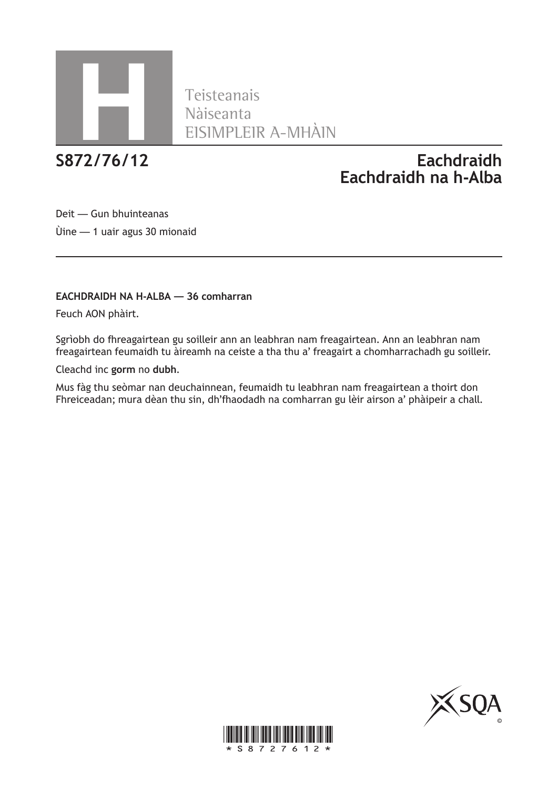

Teisteanais Nàiseanta **H** EISIMPLEIR A-MHÀIN

# **S872/76/12 Eachdraidh Eachdraidh na h-Alba**

Deit — Gun bhuinteanas Ùine — 1 uair agus 30 mionaid

### **EACHDRAIDH NA H-ALBA — 36 comharran**

Feuch AON phàirt.

Sgrìobh do fhreagairtean gu soilleir ann an leabhran nam freagairtean. Ann an leabhran nam freagairtean feumaidh tu àireamh na ceiste a tha thu a' freagairt a chomharrachadh gu soilleir.

Cleachd inc **gorm** no **dubh**.

Mus fàg thu seòmar nan deuchainnean, feumaidh tu leabhran nam freagairtean a thoirt don Fhreiceadan; mura dèan thu sin, dh'fhaodadh na comharran gu lèir airson a' phàipeir a chall.



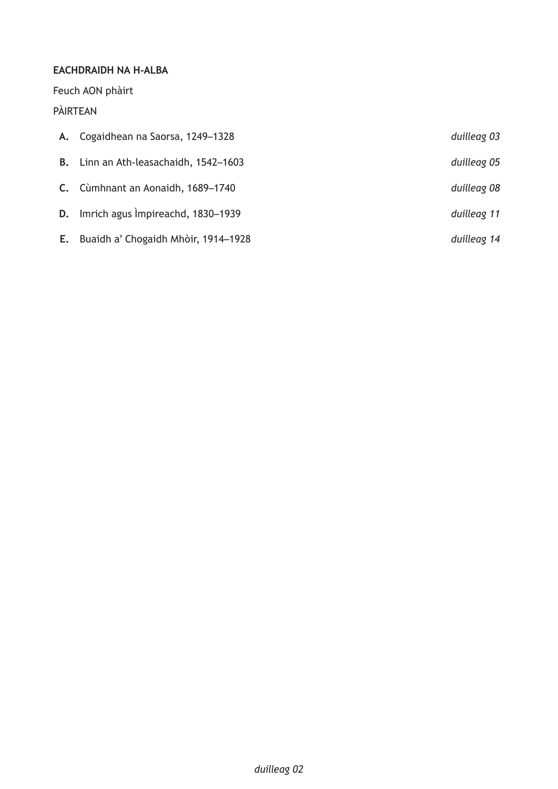# **EACHDRAIDH NA H-ALBA**

Feuch AON phàirt

# PÀIRTEAN

|    | A. Cogaidhean na Saorsa, 1249–1328    | duilleag 03 |
|----|---------------------------------------|-------------|
|    | B. Linn an Ath-leasachaidh, 1542-1603 | duilleag 05 |
|    | C. Cùmhnant an Aonaidh, 1689-1740     | duilleag 08 |
|    | D. Imrich agus Impireachd, 1830-1939  | duilleag 11 |
| E. | Buaidh a' Chogaidh Mhòir, 1914-1928   | duilleag 14 |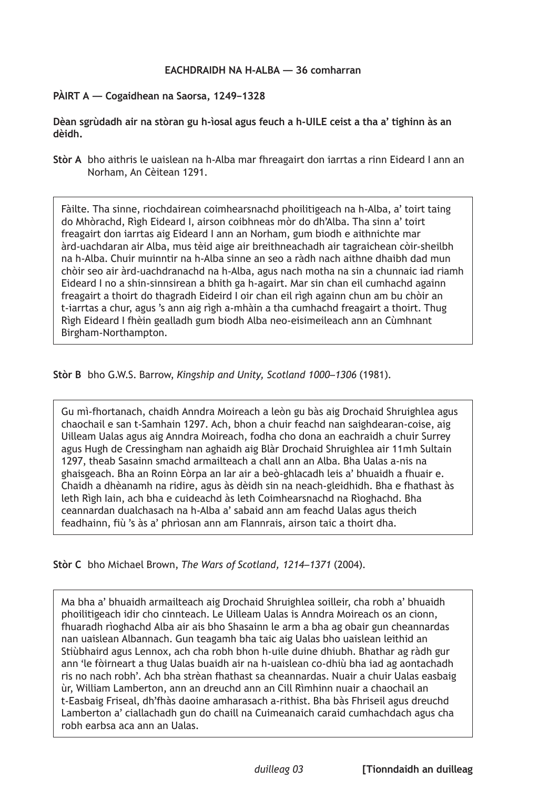### **PÀIRT A — Cogaidhean na Saorsa, 1249–1328**

**Dèan sgrùdadh air na stòran gu h-ìosal agus feuch a h-UILE ceist a tha a' tighinn às an dèidh.**

**Stòr A** bho aithris le uaislean na h-Alba mar fhreagairt don iarrtas a rinn Eideard I ann an Norham, An Cèitean 1291.

Fàilte. Tha sinne, riochdairean coimhearsnachd phoilitigeach na h-Alba, a' toirt taing do Mhòrachd, Rìgh Eideard I, airson coibhneas mòr do dh'Alba. Tha sinn a' toirt freagairt don iarrtas aig Eideard I ann an Norham, gum biodh e aithnichte mar àrd-uachdaran air Alba, mus tèid aige air breithneachadh air tagraichean còir-sheilbh na h-Alba. Chuir muinntir na h-Alba sinne an seo a ràdh nach aithne dhaibh dad mun chòir seo air àrd-uachdranachd na h-Alba, agus nach motha na sin a chunnaic iad riamh Eideard I no a shin-sinnsirean a bhith ga h-agairt. Mar sin chan eil cumhachd againn freagairt a thoirt do thagradh Eideird I oir chan eil rìgh againn chun am bu chòir an t-iarrtas a chur, agus 's ann aig rìgh a-mhàin a tha cumhachd freagairt a thoirt. Thug Rìgh Eideard I fhèin gealladh gum biodh Alba neo-eisimeileach ann an Cùmhnant Birgham-Northampton.

**Stòr B** bho G.W.S. Barrow, *Kingship and Unity, Scotland 1000–1306* (1981).

Gu mì-fhortanach, chaidh Anndra Moireach a leòn gu bàs aig Drochaid Shruighlea agus chaochail e san t-Samhain 1297. Ach, bhon a chuir feachd nan saighdearan-coise, aig Uilleam Ualas agus aig Anndra Moireach, fodha cho dona an eachraidh a chuir Surrey agus Hugh de Cressingham nan aghaidh aig Blàr Drochaid Shruighlea air 11mh Sultain 1297, theab Sasainn smachd armailteach a chall ann an Alba. Bha Ualas a-nis na ghaisgeach. Bha an Roinn Eòrpa an Iar air a beò-ghlacadh leis a' bhuaidh a fhuair e. Chaidh a dhèanamh na ridire, agus às dèidh sin na neach-gleidhidh. Bha e fhathast às leth Rìgh Iain, ach bha e cuideachd às leth Coimhearsnachd na Rìoghachd. Bha ceannardan dualchasach na h-Alba a' sabaid ann am feachd Ualas agus theich feadhainn, fiù 's às a' phrìosan ann am Flannrais, airson taic a thoirt dha.

**Stòr C** bho Michael Brown, *The Wars of Scotland, 1214–1371* (2004).

Ma bha a' bhuaidh armailteach aig Drochaid Shruighlea soilleir, cha robh a' bhuaidh phoilitigeach idir cho cinnteach. Le Uilleam Ualas is Anndra Moireach os an cionn, fhuaradh rìoghachd Alba air ais bho Shasainn le arm a bha ag obair gun cheannardas nan uaislean Albannach. Gun teagamh bha taic aig Ualas bho uaislean leithid an Stiùbhaird agus Lennox, ach cha robh bhon h-uile duine dhiubh. Bhathar ag ràdh gur ann 'le fòirneart a thug Ualas buaidh air na h-uaislean co-dhiù bha iad ag aontachadh ris no nach robh'. Ach bha strèan fhathast sa cheannardas. Nuair a chuir Ualas easbaig ùr, William Lamberton, ann an dreuchd ann an Cill Rìmhinn nuair a chaochail an t-Easbaig Friseal, dh'fhàs daoine amharasach a-rithist. Bha bàs Fhriseil agus dreuchd Lamberton a' ciallachadh gun do chaill na Cuimeanaich caraid cumhachdach agus cha robh earbsa aca ann an Ualas.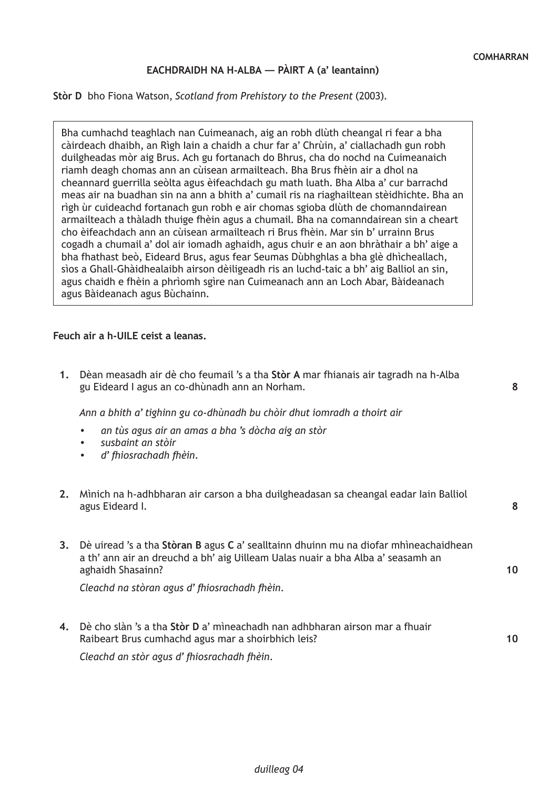**8**

**8**

**10**

**10**

### **EACHDRAIDH NA H-ALBA — PÀIRT A (a' leantainn)**

#### **Stòr D** bho Fiona Watson, *Scotland from Prehistory to the Present* (2003).

Bha cumhachd teaghlach nan Cuimeanach, aig an robh dlùth cheangal ri fear a bha càirdeach dhaibh, an Rìgh Iain a chaidh a chur far a' Chrùin, a' ciallachadh gun robh duilgheadas mòr aig Brus. Ach gu fortanach do Bhrus, cha do nochd na Cuimeanaich riamh deagh chomas ann an cùisean armailteach. Bha Brus fhèin air a dhol na cheannard guerrilla seòlta agus èifeachdach gu math luath. Bha Alba a' cur barrachd meas air na buadhan sin na ann a bhith a' cumail ris na riaghailtean stèidhichte. Bha an rìgh ùr cuideachd fortanach gun robh e air chomas sgioba dlùth de chomanndairean armailteach a thàladh thuige fhèin agus a chumail. Bha na comanndairean sin a cheart cho èifeachdach ann an cùisean armailteach ri Brus fhèin. Mar sin b' urrainn Brus cogadh a chumail a' dol air iomadh aghaidh, agus chuir e an aon bhràthair a bh' aige a bha fhathast beò, Eideard Brus, agus fear Seumas Dùbhghlas a bha glè dhìcheallach, sìos a Ghall-Ghàidhealaibh airson dèiligeadh ris an luchd-taic a bh' aig Balliol an sin, agus chaidh e fhèin a phrìomh sgìre nan Cuimeanach ann an Loch Abar, Bàideanach agus Bàideanach agus Bùchainn.

### **Feuch air a h-UILE ceist a leanas.**

**1.** Dèan measadh air dè cho feumail 's a tha **Stòr A** mar fhianais air tagradh na h-Alba gu Eideard I agus an co-dhùnadh ann an Norham.

*Ann a bhith a' tighinn gu co-dhùnadh bu chòir dhut iomradh a thoirt air*

- *• an tùs agus air an amas a bha 's dòcha aig an stòr*
- *• susbaint an stòir*
- *• d' fhiosrachadh fhèin.*
- **2.** Mìnich na h-adhbharan air carson a bha duilgheadasan sa cheangal eadar Iain Balliol agus Eideard I.
- **3.** Dè uiread 's a tha **Stòran B** agus **C** a' sealltainn dhuinn mu na diofar mhìneachaidhean a th' ann air an dreuchd a bh' aig Uilleam Ualas nuair a bha Alba a' seasamh an aghaidh Shasainn?

*Cleachd na stòran agus d' fhiosrachadh fhèin.*

**4.** Dè cho slàn 's a tha **Stòr D** a' mìneachadh nan adhbharan airson mar a fhuair Raibeart Brus cumhachd agus mar a shoirbhich leis?

*Cleachd an stòr agus d' fhiosrachadh fhèin.*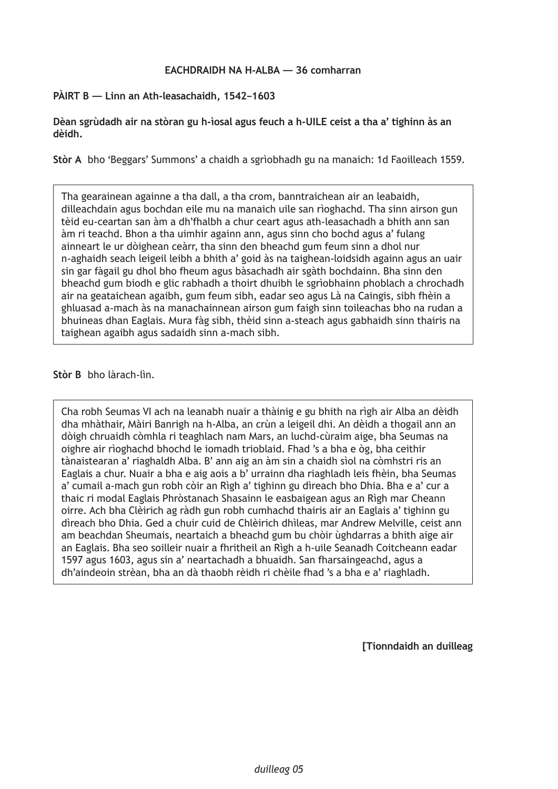**PÀIRT B — Linn an Ath-leasachaidh, 1542–1603**

**Dèan sgrùdadh air na stòran gu h-ìosal agus feuch a h-UILE ceist a tha a' tighinn às an dèidh.**

**Stòr A** bho 'Beggars' Summons' a chaidh a sgrìobhadh gu na manaich: 1d Faoilleach 1559.

Tha gearainean againne a tha dall, a tha crom, banntraichean air an leabaidh, dilleachdain agus bochdan eile mu na manaich uile san rìoghachd. Tha sinn airson gun tèid eu-ceartan san àm a dh'fhalbh a chur ceart agus ath-leasachadh a bhith ann san àm ri teachd. Bhon a tha uimhir againn ann, agus sinn cho bochd agus a' fulang ainneart le ur dòighean ceàrr, tha sinn den bheachd gum feum sinn a dhol nur n-aghaidh seach leigeil leibh a bhith a' goid às na taighean-loidsidh againn agus an uair sin gar fàgail gu dhol bho fheum agus bàsachadh air sgàth bochdainn. Bha sinn den bheachd gum biodh e glic rabhadh a thoirt dhuibh le sgrìobhainn phoblach a chrochadh air na geataichean agaibh, gum feum sibh, eadar seo agus Là na Caingis, sibh fhèin a ghluasad a-mach às na manachainnean airson gum faigh sinn toileachas bho na rudan a bhuineas dhan Eaglais. Mura fàg sibh, thèid sinn a-steach agus gabhaidh sinn thairis na taighean agaibh agus sadaidh sinn a-mach sibh.

**Stòr B** bho làrach-lìn.

Cha robh Seumas VI ach na leanabh nuair a thàinig e gu bhith na rìgh air Alba an dèidh dha mhàthair, Màiri Banrigh na h-Alba, an crùn a leigeil dhi. An dèidh a thogail ann an dòigh chruaidh còmhla ri teaghlach nam Mars, an luchd-cùraim aige, bha Seumas na oighre air rìoghachd bhochd le iomadh trioblaid. Fhad 's a bha e òg, bha ceithir tànaistearan a' riaghaldh Alba. B' ann aig an àm sin a chaidh sìol na còmhstri ris an Eaglais a chur. Nuair a bha e aig aois a b' urrainn dha riaghladh leis fhèin, bha Seumas a' cumail a-mach gun robh còir an Rìgh a' tighinn gu dìreach bho Dhia. Bha e a' cur a thaic ri modal Eaglais Phròstanach Shasainn le easbaigean agus an Rìgh mar Cheann oirre. Ach bha Clèirich ag ràdh gun robh cumhachd thairis air an Eaglais a' tighinn gu dìreach bho Dhia. Ged a chuir cuid de Chlèirich dhìleas, mar Andrew Melville, ceist ann am beachdan Sheumais, neartaich a bheachd gum bu chòir ùghdarras a bhith aige air an Eaglais. Bha seo soilleir nuair a fhritheil an Rìgh a h-uile Seanadh Coitcheann eadar 1597 agus 1603, agus sin a' neartachadh a bhuaidh. San fharsaingeachd, agus a dh'aindeoin strèan, bha an dà thaobh rèidh ri chèile fhad 's a bha e a' riaghladh.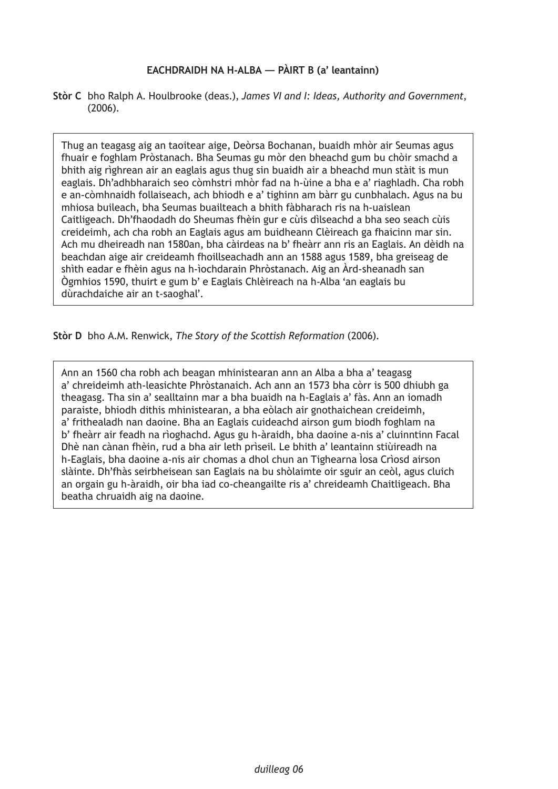### **EACHDRAIDH NA H-ALBA — PÀIRT B (a' leantainn)**

**Stòr C** bho Ralph A. Houlbrooke (deas.), *James VI and I: Ideas, Authority and Government*, (2006).

Thug an teagasg aig an taoitear aige, Deòrsa Bochanan, buaidh mhòr air Seumas agus fhuair e foghlam Pròstanach. Bha Seumas gu mòr den bheachd gum bu chòir smachd a bhith aig rìghrean air an eaglais agus thug sin buaidh air a bheachd mun stàit is mun eaglais. Dh'adhbharaich seo còmhstri mhòr fad na h-ùine a bha e a' riaghladh. Cha robh e an-còmhnaidh follaiseach, ach bhiodh e a' tighinn am bàrr gu cunbhalach. Agus na bu mhiosa buileach, bha Seumas buailteach a bhith fàbharach ris na h-uaislean Caitligeach. Dh'fhaodadh do Sheumas fhèin gur e cùis dìlseachd a bha seo seach cùis creideimh, ach cha robh an Eaglais agus am buidheann Clèireach ga fhaicinn mar sin. Ach mu dheireadh nan 1580an, bha càirdeas na b' fheàrr ann ris an Eaglais. An dèidh na beachdan aige air creideamh fhoillseachadh ann an 1588 agus 1589, bha greiseag de shìth eadar e fhèin agus na h-ìochdarain Phròstanach. Aig an Àrd-sheanadh san Ògmhios 1590, thuirt e gum b' e Eaglais Chlèireach na h-Alba 'an eaglais bu dùrachdaiche air an t-saoghal'.

**Stòr D** bho A.M. Renwick, *The Story of the Scottish Reformation* (2006).

Ann an 1560 cha robh ach beagan mhinistearan ann an Alba a bha a' teagasg a' chreideimh ath-leasichte Phròstanaich. Ach ann an 1573 bha còrr is 500 dhiubh ga theagasg. Tha sin a' sealltainn mar a bha buaidh na h-Eaglais a' fàs. Ann an iomadh paraiste, bhiodh dithis mhinistearan, a bha eòlach air gnothaichean creideimh, a' frithealadh nan daoine. Bha an Eaglais cuideachd airson gum biodh foghlam na b' fheàrr air feadh na rìoghachd. Agus gu h-àraidh, bha daoine a-nis a' cluinntinn Facal Dhè nan cànan fhèin, rud a bha air leth prìseil. Le bhith a' leantainn stiùireadh na h-Eaglais, bha daoine a-nis air chomas a dhol chun an Tighearna Ìosa Crìosd airson slàinte. Dh'fhàs seirbheisean san Eaglais na bu shòlaimte oir sguir an ceòl, agus cluich an orgain gu h-àraidh, oir bha iad co-cheangailte ris a' chreideamh Chaitligeach. Bha beatha chruaidh aig na daoine.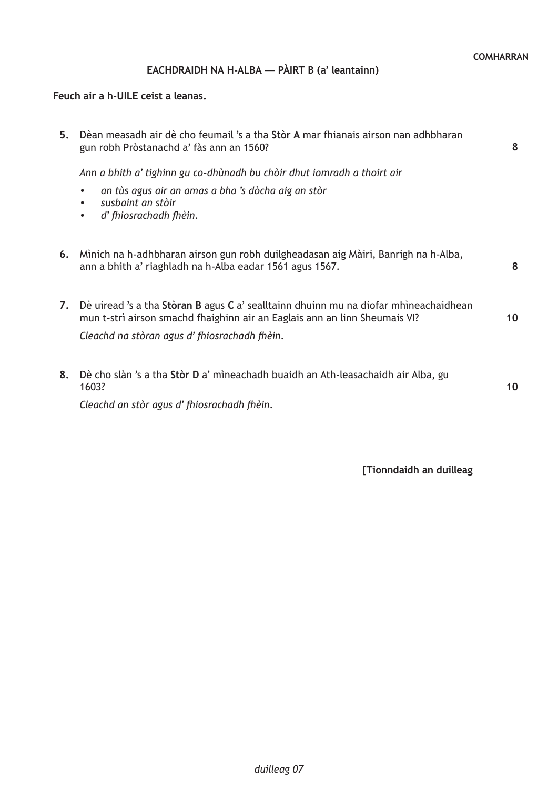# **EACHDRAIDH NA H-ALBA — PÀIRT B (a' leantainn)**

# **Feuch air a h-UILE ceist a leanas.**

| 5. | Dèan measadh air dè cho feumail 's a tha Stòr A mar fhianais airson nan adhbharan<br>gun robh Pròstanachd a' fàs ann an 1560?                                                                                      | 8               |
|----|--------------------------------------------------------------------------------------------------------------------------------------------------------------------------------------------------------------------|-----------------|
|    | Ann a bhith a' tighinn gu co-dhùnadh bu chòir dhut iomradh a thoirt air                                                                                                                                            |                 |
|    | an tùs agus air an amas a bha 's dòcha aig an stòr<br>$\bullet$<br>susbaint an stòir<br>$\bullet$<br>d' fhiosrachadh fhèin.<br>$\bullet$                                                                           |                 |
| 6. | Mìnich na h-adhbharan airson gun robh duilgheadasan aig Màiri, Banrigh na h-Alba,<br>ann a bhith a' riaghladh na h-Alba eadar 1561 agus 1567.                                                                      | 8               |
| 7. | Dè uiread 's a tha Stòran B agus C a' sealltainn dhuinn mu na diofar mhìneachaidhean<br>mun t-strì airson smachd fhaighinn air an Eaglais ann an linn Sheumais VI?<br>Cleachd na stòran agus d'fhiosrachadh fhèin. | 10 <sup>°</sup> |
| 8. | Dè cho slàn 's a tha Stòr D a' mìneachadh buaidh an Ath-leasachaidh air Alba, gu<br>1603?<br>Cleachd an stòr agus d'fhiosrachadh fhèin.                                                                            | 10              |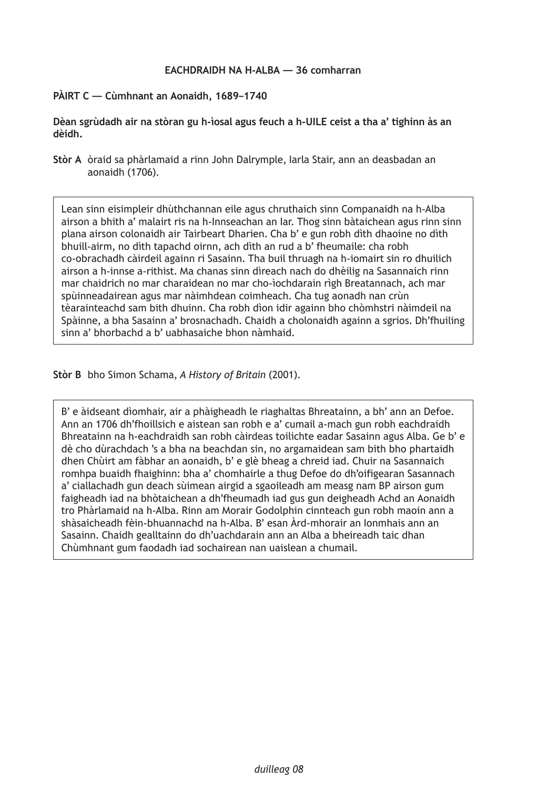### **PÀIRT C — Cùmhnant an Aonaidh, 1689–1740**

**Dèan sgrùdadh air na stòran gu h-ìosal agus feuch a h-UILE ceist a tha a' tighinn às an dèidh.**

**Stòr A** òraid sa phàrlamaid a rinn John Dalrymple, Iarla Stair, ann an deasbadan an aonaidh (1706).

Lean sinn eisimpleir dhùthchannan eile agus chruthaich sinn Companaidh na h-Alba airson a bhith a' malairt ris na h-Innseachan an Iar. Thog sinn bàtaichean agus rinn sinn plana airson colonaidh air Tairbeart Dharien. Cha b' e gun robh dìth dhaoine no dìth bhuill-airm, no dìth tapachd oirnn, ach dìth an rud a b' fheumaile: cha robh co-obrachadh càirdeil againn ri Sasainn. Tha buil thruagh na h-iomairt sin ro dhuilich airson a h-innse a-rithist. Ma chanas sinn dìreach nach do dhèilig na Sasannaich rinn mar chaidrich no mar charaidean no mar cho-ìochdarain rìgh Breatannach, ach mar spùinneadairean agus mar nàimhdean coimheach. Cha tug aonadh nan crùn tèarainteachd sam bith dhuinn. Cha robh dìon idir againn bho chòmhstri nàimdeil na Spàinne, a bha Sasainn a' brosnachadh. Chaidh a cholonaidh againn a sgrios. Dh'fhuiling sinn a' bhorbachd a b' uabhasaiche bhon nàmhaid.

**Stòr B** bho Simon Schama, *A History of Britain* (2001).

B' e àidseant dìomhair, air a phàigheadh le riaghaltas Bhreatainn, a bh' ann an Defoe. Ann an 1706 dh'fhoillsich e aistean san robh e a' cumail a-mach gun robh eachdraidh Bhreatainn na h-eachdraidh san robh càirdeas toilichte eadar Sasainn agus Alba. Ge b' e dè cho dùrachdach 's a bha na beachdan sin, no argamaidean sam bith bho phartaidh dhen Chùirt am fàbhar an aonaidh, b' e glè bheag a chreid iad. Chuir na Sasannaich romhpa buaidh fhaighinn: bha a' chomhairle a thug Defoe do dh'oifigearan Sasannach a' ciallachadh gun deach sùimean airgid a sgaoileadh am measg nam BP airson gum faigheadh iad na bhòtaichean a dh'fheumadh iad gus gun deigheadh Achd an Aonaidh tro Phàrlamaid na h-Alba. Rinn am Morair Godolphin cinnteach gun robh maoin ann a shàsaicheadh fèin-bhuannachd na h-Alba. B' esan Àrd-mhorair an Ionmhais ann an Sasainn. Chaidh gealltainn do dh'uachdarain ann an Alba a bheireadh taic dhan Chùmhnant gum faodadh iad sochairean nan uaislean a chumail.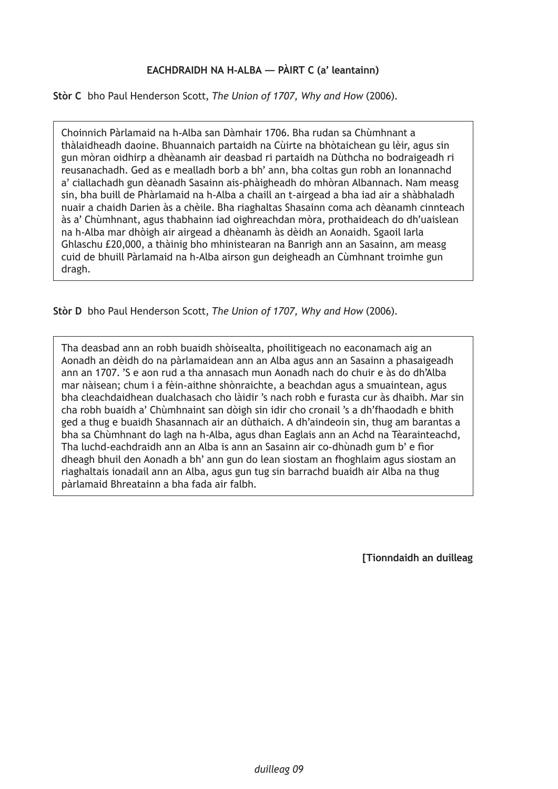# **EACHDRAIDH NA H-ALBA — PÀIRT C (a' leantainn)**

**Stòr C** bho Paul Henderson Scott, *The Union of 1707, Why and How* (2006).

Choinnich Pàrlamaid na h-Alba san Dàmhair 1706. Bha rudan sa Chùmhnant a thàlaidheadh daoine. Bhuannaich partaidh na Cùirte na bhòtaichean gu lèir, agus sin gun mòran oidhirp a dhèanamh air deasbad ri partaidh na Dùthcha no bodraigeadh ri reusanachadh. Ged as e mealladh borb a bh' ann, bha coltas gun robh an Ionannachd a' ciallachadh gun dèanadh Sasainn ais-phàigheadh do mhòran Albannach. Nam measg sin, bha buill de Phàrlamaid na h-Alba a chaill an t-airgead a bha iad air a shàbhaladh nuair a chaidh Darien às a chèile. Bha riaghaltas Shasainn coma ach dèanamh cinnteach às a' Chùmhnant, agus thabhainn iad oighreachdan mòra, prothaideach do dh'uaislean na h-Alba mar dhòigh air airgead a dhèanamh às dèidh an Aonaidh. Sgaoil Iarla Ghlaschu £20,000, a thàinig bho mhinistearan na Banrigh ann an Sasainn, am measg cuid de bhuill Pàrlamaid na h-Alba airson gun deigheadh an Cùmhnant troimhe gun dragh.

**Stòr D** bho Paul Henderson Scott, *The Union of 1707, Why and How* (2006).

Tha deasbad ann an robh buaidh shòisealta, phoilitigeach no eaconamach aig an Aonadh an dèidh do na pàrlamaidean ann an Alba agus ann an Sasainn a phasaigeadh ann an 1707. 'S e aon rud a tha annasach mun Aonadh nach do chuir e às do dh'Alba mar nàisean; chum i a fèin-aithne shònraichte, a beachdan agus a smuaintean, agus bha cleachdaidhean dualchasach cho làidir 's nach robh e furasta cur às dhaibh. Mar sin cha robh buaidh a' Chùmhnaint san dòigh sin idir cho cronail 's a dh'fhaodadh e bhith ged a thug e buaidh Shasannach air an dùthaich. A dh'aindeoin sin, thug am barantas a bha sa Chùmhnant do lagh na h-Alba, agus dhan Eaglais ann an Achd na Tèarainteachd, Tha luchd-eachdraidh ann an Alba is ann an Sasainn air co-dhùnadh gum b' e fìor dheagh bhuil den Aonadh a bh' ann gun do lean siostam an fhoghlaim agus siostam an riaghaltais ionadail ann an Alba, agus gun tug sin barrachd buaidh air Alba na thug pàrlamaid Bhreatainn a bha fada air falbh.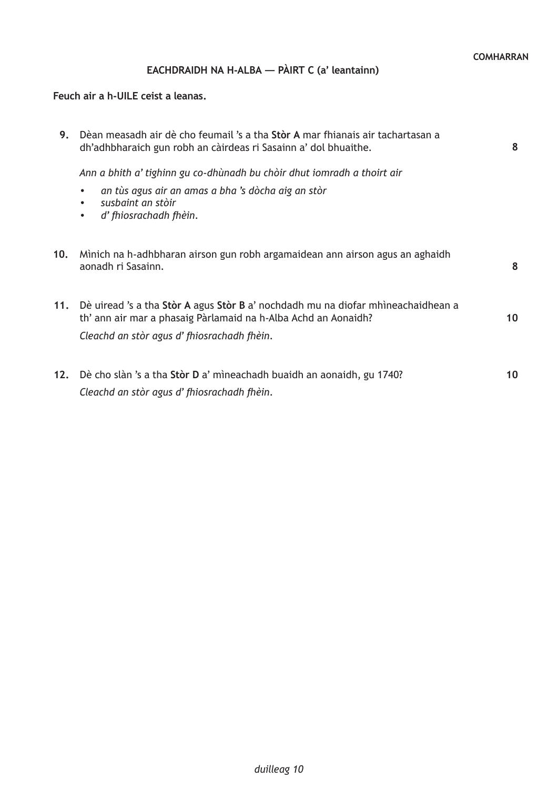# **EACHDRAIDH NA H-ALBA — PÀIRT C (a' leantainn)**

# **Feuch air a h-UILE ceist a leanas.**

| 9.  | Dèan measadh air dè cho feumail 's a tha Stòr A mar fhianais air tachartasan a<br>dh'adhbharaich gun robh an càirdeas ri Sasainn a' dol bhuaithe.      | 8  |
|-----|--------------------------------------------------------------------------------------------------------------------------------------------------------|----|
|     | Ann a bhith a' tighinn gu co-dhùnadh bu chòir dhut iomradh a thoirt air                                                                                |    |
|     | an tùs agus air an amas a bha 's dòcha aig an stòr<br>susbaint an stòir<br>d' fhiosrachadh fhèin.<br>$\bullet$                                         |    |
| 10. | Mìnich na h-adhbharan airson gun robh argamaidean ann airson agus an aghaidh<br>aonadh ri Sasainn.                                                     | 8  |
|     | 11. Dè uiread 's a tha Stòr A agus Stòr B a' nochdadh mu na diofar mhìneachaidhean a<br>th' ann air mar a phasaig Pàrlamaid na h-Alba Achd an Aonaidh? | 10 |
|     | Cleachd an stòr agus d'fhiosrachadh fhèin.                                                                                                             |    |
| 12. | Dè cho slàn 's a tha Stòr D a' mìneachadh buaidh an aonaidh, gu 1740?<br>Cleachd an stòr agus d'fhiosrachadh fhèin.                                    | 10 |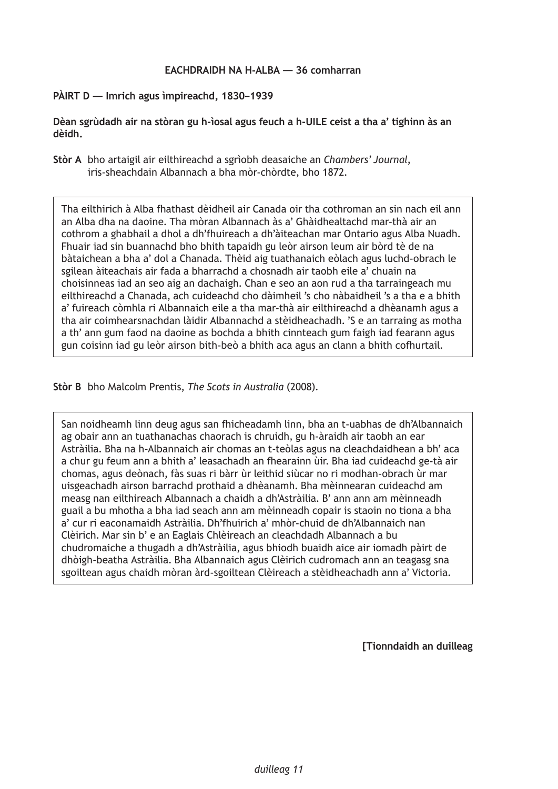### **PÀIRT D — Imrich agus ìmpireachd, 1830–1939**

**Dèan sgrùdadh air na stòran gu h-ìosal agus feuch a h-UILE ceist a tha a' tighinn às an dèidh.**

**Stòr A** bho artaigil air eilthireachd a sgrìobh deasaiche an *Chambers' Journal*, iris-sheachdain Albannach a bha mòr-chòrdte, bho 1872.

Tha eilthirich à Alba fhathast dèidheil air Canada oir tha cothroman an sin nach eil ann an Alba dha na daoine. Tha mòran Albannach às a' Ghàidhealtachd mar-thà air an cothrom a ghabhail a dhol a dh'fhuireach a dh'àiteachan mar Ontario agus Alba Nuadh. Fhuair iad sin buannachd bho bhith tapaidh gu leòr airson leum air bòrd tè de na bàtaichean a bha a' dol a Chanada. Thèid aig tuathanaich eòlach agus luchd-obrach le sgilean àiteachais air fada a bharrachd a chosnadh air taobh eile a' chuain na choisinneas iad an seo aig an dachaigh. Chan e seo an aon rud a tha tarraingeach mu eilthireachd a Chanada, ach cuideachd cho dàimheil 's cho nàbaidheil 's a tha e a bhith a' fuireach còmhla ri Albannaich eile a tha mar-thà air eilthireachd a dhèanamh agus a tha air coimhearsnachdan làidir Albannachd a stèidheachadh. 'S e an tarraing as motha a th' ann gum faod na daoine as bochda a bhith cinnteach gum faigh iad fearann agus gun coisinn iad gu leòr airson bith-beò a bhith aca agus an clann a bhith cofhurtail.

**Stòr B** bho Malcolm Prentis, *The Scots in Australia* (2008).

San noidheamh linn deug agus san fhicheadamh linn, bha an t-uabhas de dh'Albannaich ag obair ann an tuathanachas chaorach is chruidh, gu h-àraidh air taobh an ear Astràilia. Bha na h-Albannaich air chomas an t-teòlas agus na cleachdaidhean a bh' aca a chur gu feum ann a bhith a' leasachadh an fhearainn ùir. Bha iad cuideachd ge-tà air chomas, agus deònach, fàs suas ri bàrr ùr leithid siùcar no ri modhan-obrach ùr mar uisgeachadh airson barrachd prothaid a dhèanamh. Bha mèinnearan cuideachd am measg nan eilthireach Albannach a chaidh a dh'Astràilia. B' ann ann am mèinneadh guail a bu mhotha a bha iad seach ann am mèinneadh copair is staoin no tiona a bha a' cur ri eaconamaidh Astràilia. Dh'fhuirich a' mhòr-chuid de dh'Albannaich nan Clèirich. Mar sin b' e an Eaglais Chlèireach an cleachdadh Albannach a bu chudromaiche a thugadh a dh'Astràilia, agus bhiodh buaidh aice air iomadh pàirt de dhòigh-beatha Astràilia. Bha Albannaich agus Clèirich cudromach ann an teagasg sna sgoiltean agus chaidh mòran àrd-sgoiltean Clèireach a stèidheachadh ann a' Victoria.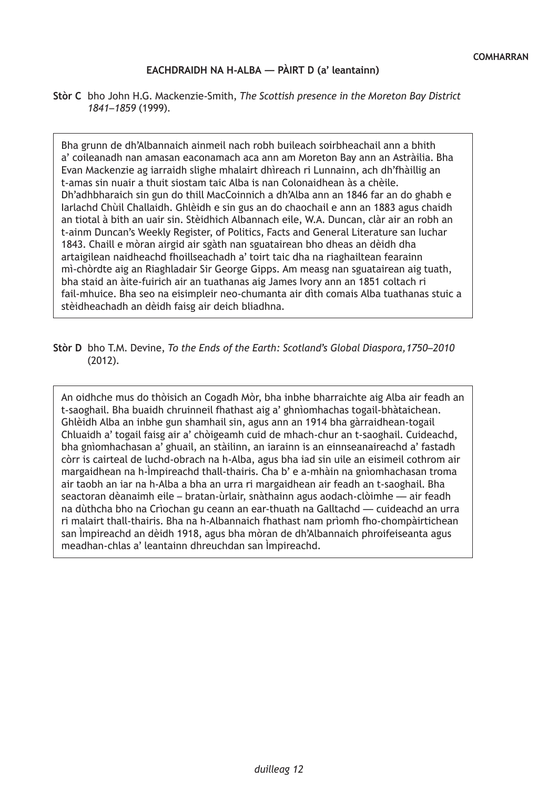## **EACHDRAIDH NA H-ALBA — PÀIRT D (a' leantainn)**

**Stòr C** bho John H.G. Mackenzie-Smith, *The Scottish presence in the Moreton Bay District 1841–1859* (1999).

Bha grunn de dh'Albannaich ainmeil nach robh buileach soirbheachail ann a bhith a' coileanadh nan amasan eaconamach aca ann am Moreton Bay ann an Astràilia. Bha Evan Mackenzie ag iarraidh slighe mhalairt dhìreach ri Lunnainn, ach dh'fhàillig an t-amas sin nuair a thuit siostam taic Alba is nan Colonaidhean às a chèile. Dh'adhbharaich sin gun do thill MacCoinnich a dh'Alba ann an 1846 far an do ghabh e Iarlachd Chùil Challaidh. Ghlèidh e sin gus an do chaochail e ann an 1883 agus chaidh an tiotal à bith an uair sin. Stèidhich Albannach eile, W.A. Duncan, clàr air an robh an t-ainm Duncan's Weekly Register, of Politics, Facts and General Literature san Iuchar 1843. Chaill e mòran airgid air sgàth nan sguatairean bho dheas an dèidh dha artaigilean naidheachd fhoillseachadh a' toirt taic dha na riaghailtean fearainn mì-chòrdte aig an Riaghladair Sir George Gipps. Am measg nan sguatairean aig tuath, bha staid an àite-fuirich air an tuathanas aig James Ivory ann an 1851 coltach ri fail-mhuice. Bha seo na eisimpleir neo-chumanta air dìth comais Alba tuathanas stuic a stèidheachadh an dèidh faisg air deich bliadhna.

#### **Stòr D** bho T.M. Devine, *To the Ends of the Earth: Scotland's Global Diaspora,1750–2010* (2012).

An oidhche mus do thòisich an Cogadh Mòr, bha inbhe bharraichte aig Alba air feadh an t-saoghail. Bha buaidh chruinneil fhathast aig a' ghnìomhachas togail-bhàtaichean. Ghlèidh Alba an inbhe gun shamhail sin, agus ann an 1914 bha gàrraidhean-togail Chluaidh a' togail faisg air a' chòigeamh cuid de mhach-chur an t-saoghail. Cuideachd, bha gnìomhachasan a' ghuail, an stàilinn, an iarainn is an einnseanaireachd a' fastadh còrr is cairteal de luchd-obrach na h-Alba, agus bha iad sin uile an eisimeil cothrom air margaidhean na h-Ìmpireachd thall-thairis. Cha b' e a-mhàin na gnìomhachasan troma air taobh an iar na h-Alba a bha an urra ri margaidhean air feadh an t-saoghail. Bha seactoran dèanaimh eile – bratan-ùrlair, snàthainn agus aodach-clòimhe — air feadh na dùthcha bho na Crìochan gu ceann an ear-thuath na Galltachd — cuideachd an urra ri malairt thall-thairis. Bha na h-Albannaich fhathast nam prìomh fho-chompàirtichean san Ìmpireachd an dèidh 1918, agus bha mòran de dh'Albannaich phroifeiseanta agus meadhan-chlas a' leantainn dhreuchdan san Ìmpireachd.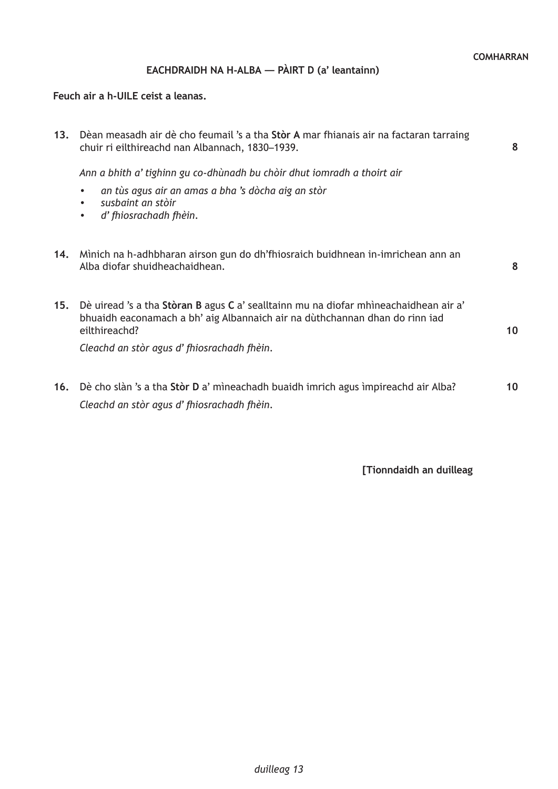# **EACHDRAIDH NA H-ALBA — PÀIRT D (a' leantainn)**

## **Feuch air a h-UILE ceist a leanas.**

| 13. | Dèan measadh air dè cho feumail 's a tha Stòr A mar fhianais air na factaran tarraing<br>chuir ri eilthireachd nan Albannach, 1830–1939.                                             | 8  |
|-----|--------------------------------------------------------------------------------------------------------------------------------------------------------------------------------------|----|
|     | Ann a bhith a' tighinn gu co-dhùnadh bu chòir dhut iomradh a thoirt air                                                                                                              |    |
|     | an tùs agus air an amas a bha 's dòcha aig an stòr<br>$\bullet$<br>susbaint an stòir<br>d' fhiosrachadh fhèin.<br>$\bullet$                                                          |    |
| 14. | Mìnich na h-adhbharan airson gun do dh'fhiosraich buidhnean in-imrichean ann an<br>Alba diofar shuidheachaidhean.                                                                    | 8  |
| 15. | Dè uiread 's a tha Stòran B agus C a' sealltainn mu na diofar mhìneachaidhean air a'<br>bhuaidh eaconamach a bh' aig Albannaich air na dùthchannan dhan do rinn iad<br>eilthireachd? | 10 |
|     | Cleachd an stòr agus d'fhiosrachadh fhèin.                                                                                                                                           |    |
|     | 16. Dè cho slàn 's a tha Stòr D a' mìneachadh buaidh imrich agus impireachd air Alba?<br>Cleachd an stòr agus d'fhiosrachadh fhèin.                                                  | 10 |
|     |                                                                                                                                                                                      |    |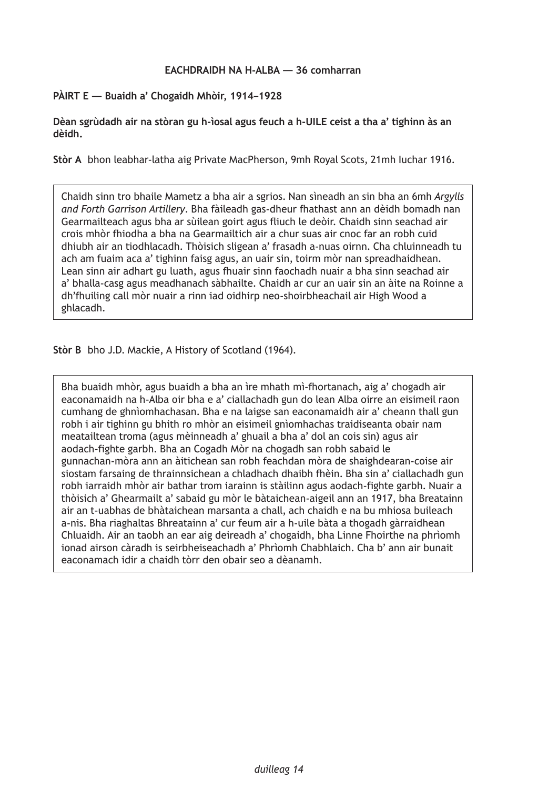### **PÀIRT E — Buaidh a' Chogaidh Mhòir, 1914–1928**

**Dèan sgrùdadh air na stòran gu h-ìosal agus feuch a h-UILE ceist a tha a' tighinn às an dèidh.**

**Stòr A** bhon leabhar-latha aig Private MacPherson, 9mh Royal Scots, 21mh Iuchar 1916.

Chaidh sinn tro bhaile Mametz a bha air a sgrios. Nan sìneadh an sin bha an 6mh *Argylls and Forth Garrison Artillery*. Bha fàileadh gas-dheur fhathast ann an dèidh bomadh nan Gearmailteach agus bha ar sùilean goirt agus fliuch le deòir. Chaidh sinn seachad air crois mhòr fhiodha a bha na Gearmailtich air a chur suas air cnoc far an robh cuid dhiubh air an tiodhlacadh. Thòisich sligean a' frasadh a-nuas oirnn. Cha chluinneadh tu ach am fuaim aca a' tighinn faisg agus, an uair sin, toirm mòr nan spreadhaidhean. Lean sinn air adhart gu luath, agus fhuair sinn faochadh nuair a bha sinn seachad air a' bhalla-casg agus meadhanach sàbhailte. Chaidh ar cur an uair sin an àite na Roinne a dh'fhuiling call mòr nuair a rinn iad oidhirp neo-shoirbheachail air High Wood a ghlacadh.

**Stòr B** bho J.D. Mackie, A History of Scotland (1964).

Bha buaidh mhòr, agus buaidh a bha an ìre mhath mì-fhortanach, aig a' chogadh air eaconamaidh na h-Alba oir bha e a' ciallachadh gun do lean Alba oirre an eisimeil raon cumhang de ghnìomhachasan. Bha e na laigse san eaconamaidh air a' cheann thall gun robh i air tighinn gu bhith ro mhòr an eisimeil gnìomhachas traidiseanta obair nam meatailtean troma (agus mèinneadh a' ghuail a bha a' dol an cois sin) agus air aodach-fighte garbh. Bha an Cogadh Mòr na chogadh san robh sabaid le gunnachan-mòra ann an àitichean san robh feachdan mòra de shaighdearan-coise air siostam farsaing de thrainnsichean a chladhach dhaibh fhèin. Bha sin a' ciallachadh gun robh iarraidh mhòr air bathar trom iarainn is stàilinn agus aodach-fighte garbh. Nuair a thòisich a' Ghearmailt a' sabaid gu mòr le bàtaichean-aigeil ann an 1917, bha Breatainn air an t-uabhas de bhàtaichean marsanta a chall, ach chaidh e na bu mhiosa buileach a-nis. Bha riaghaltas Bhreatainn a' cur feum air a h-uile bàta a thogadh gàrraidhean Chluaidh. Air an taobh an ear aig deireadh a' chogaidh, bha Linne Fhoirthe na phrìomh ionad airson càradh is seirbheiseachadh a' Phrìomh Chabhlaich. Cha b' ann air bunait eaconamach idir a chaidh tòrr den obair seo a dèanamh.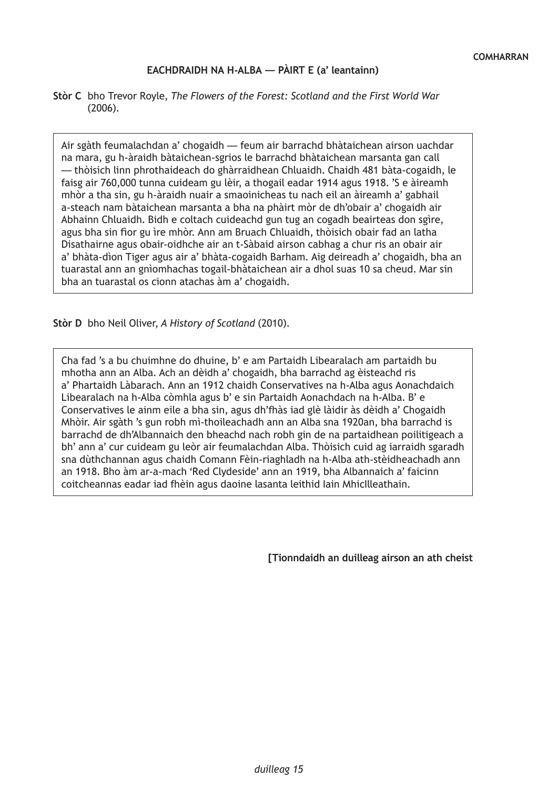### **EACHDRAIDH NA H-ALBA — PÀIRT E (a' leantainn)**

**Stòr C** bho Trevor Royle, *The Flowers of the Forest: Scotland and the First World War* (2006).

Air sgàth feumalachdan a' chogaidh — feum air barrachd bhàtaichean airson uachdar na mara, gu h-àraidh bàtaichean-sgrios le barrachd bhàtaichean marsanta gan call — thòisich linn phrothaideach do ghàrraidhean Chluaidh. Chaidh 481 bàta-cogaidh, le faisg air 760,000 tunna cuideam gu lèir, a thogail eadar 1914 agus 1918. 'S e àireamh mhòr a tha sin, gu h-àraidh nuair a smaoinicheas tu nach eil an àireamh a' gabhail a-steach nam bàtaichean marsanta a bha na phàirt mòr de dh'obair a' chogaidh air Abhainn Chluaidh. Bidh e coltach cuideachd gun tug an cogadh beairteas don sgìre, agus bha sin fìor gu ìre mhòr. Ann am Bruach Chluaidh, thòisich obair fad an latha Disathairne agus obair-oidhche air an t-Sàbaid airson cabhag a chur ris an obair air a' bhàta-dìon Tiger agus air a' bhàta-cogaidh Barham. Aig deireadh a' chogaidh, bha an tuarastal ann an gnìomhachas togail-bhàtaichean air a dhol suas 10 sa cheud. Mar sin bha an tuarastal os cionn atachas àm a' chogaidh.

**Stòr D** bho Neil Oliver, *A History of Scotland* (2010).

Cha fad 's a bu chuimhne do dhuine, b' e am Partaidh Libearalach am partaidh bu mhotha ann an Alba. Ach an dèidh a' chogaidh, bha barrachd ag èisteachd ris a' Phartaidh Làbarach. Ann an 1912 chaidh Conservatives na h-Alba agus Aonachdaich Libearalach na h-Alba còmhla agus b' e sin Partaidh Aonachdach na h-Alba. B' e Conservatives le ainm eile a bha sin, agus dh'fhàs iad glè làidir às dèidh a' Chogaidh Mhòir. Air sgàth 's gun robh mì-thoileachadh ann an Alba sna 1920an, bha barrachd is barrachd de dh'Albannaich den bheachd nach robh gin de na partaidhean poilitigeach a bh' ann a' cur cuideam gu leòr air feumalachdan Alba. Thòisich cuid ag iarraidh sgaradh sna dùthchannan agus chaidh Comann Fèin-riaghladh na h-Alba ath-stèidheachadh ann an 1918. Bho àm ar-a-mach 'Red Clydeside' ann an 1919, bha Albannaich a' faicinn coitcheannas eadar iad fhèin agus daoine lasanta leithid Iain MhicIlleathain.

**[Tionndaidh an duilleag airson an ath cheist**